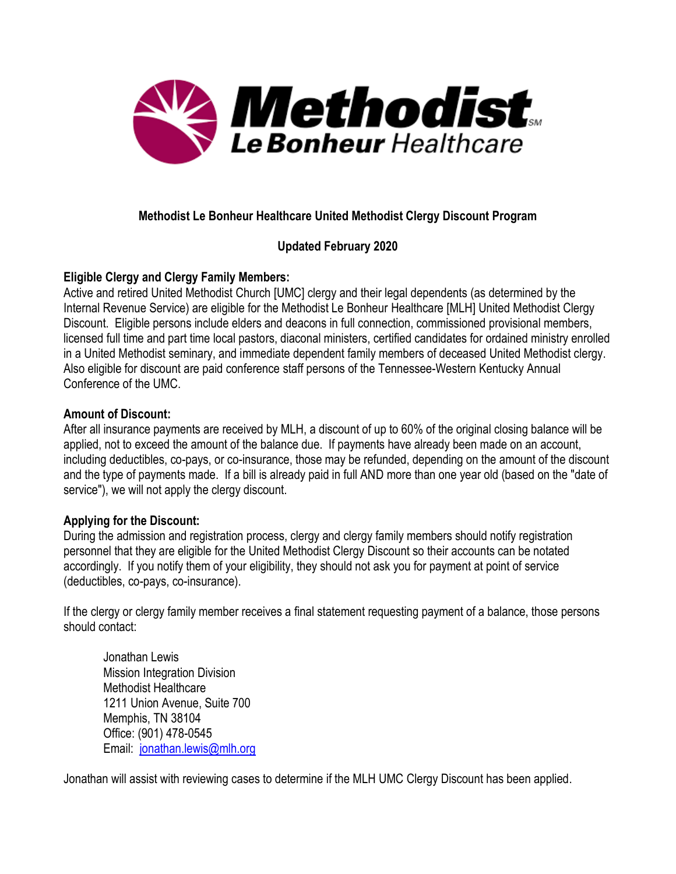

# **Methodist Le Bonheur Healthcare United Methodist Clergy Discount Program**

## **Updated February 2020**

## **Eligible Clergy and Clergy Family Members:**

Active and retired United Methodist Church [UMC] clergy and their legal dependents (as determined by the Internal Revenue Service) are eligible for the Methodist Le Bonheur Healthcare [MLH] United Methodist Clergy Discount. Eligible persons include elders and deacons in full connection, commissioned provisional members, licensed full time and part time local pastors, diaconal ministers, certified candidates for ordained ministry enrolled in a United Methodist seminary, and immediate dependent family members of deceased United Methodist clergy. Also eligible for discount are paid conference staff persons of the Tennessee-Western Kentucky Annual Conference of the UMC.

### **Amount of Discount:**

After all insurance payments are received by MLH, a discount of up to 60% of the original closing balance will be applied, not to exceed the amount of the balance due. If payments have already been made on an account, including deductibles, co-pays, or co-insurance, those may be refunded, depending on the amount of the discount and the type of payments made. If a bill is already paid in full AND more than one year old (based on the "date of service"), we will not apply the clergy discount.

### **Applying for the Discount:**

During the admission and registration process, clergy and clergy family members should notify registration personnel that they are eligible for the United Methodist Clergy Discount so their accounts can be notated accordingly. If you notify them of your eligibility, they should not ask you for payment at point of service (deductibles, co-pays, co-insurance).

If the clergy or clergy family member receives a final statement requesting payment of a balance, those persons should contact:

Jonathan Lewis Mission Integration Division Methodist Healthcare 1211 Union Avenue, Suite 700 Memphis, TN 38104 Office: (901) 478-0545 Email: [jonathan.lewis@mlh.org](mailto:jonathan.lewis@mlh.org)

Jonathan will assist with reviewing cases to determine if the MLH UMC Clergy Discount has been applied.